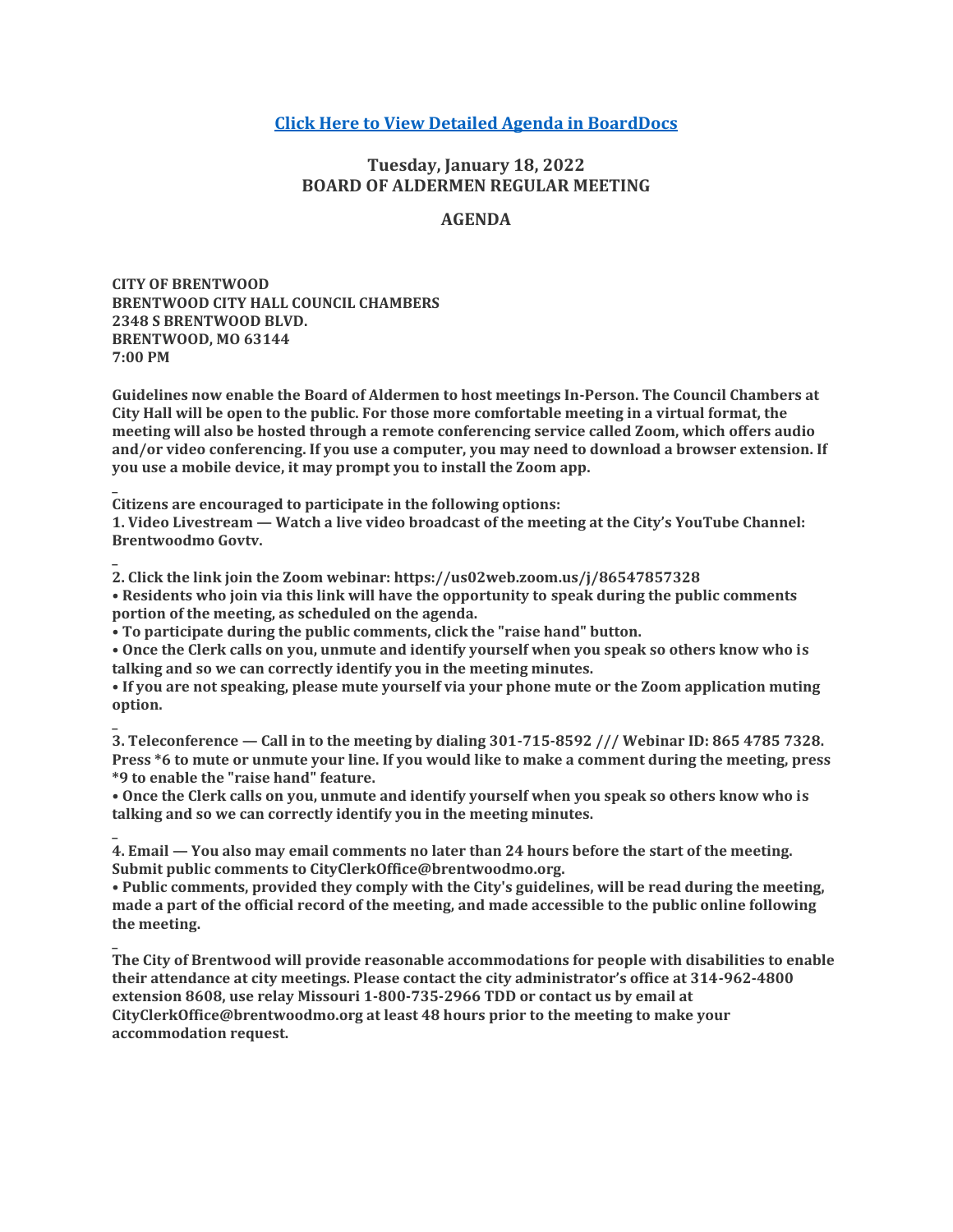# **[Click Here to View Detailed Agenda in BoardDocs](http://go.boarddocs.com/mo/cob/Board.nsf/goto?open&id=C9HSTZ713CFD)**

# **Tuesday, January 18, 2022 BOARD OF ALDERMEN REGULAR MEETING**

# **AGENDA**

**CITY OF BRENTWOOD BRENTWOOD CITY HALL COUNCIL CHAMBERS 2348 S BRENTWOOD BLVD. BRENTWOOD, MO 63144 7:00 PM**

**\_**

**\_**

**Guidelines now enable the Board of Aldermen to host meetings In-Person. The Council Chambers at City Hall will be open to the public. For those more comfortable meeting in a virtual format, the meeting will also be hosted through a remote conferencing service called Zoom, which offers audio and/or video conferencing. If you use a computer, you may need to download a browser extension. If you use a mobile device, it may prompt you to install the Zoom app.**

**Citizens are encouraged to participate in the following options:**

**1. Video Livestream — Watch a live video broadcast of the meeting at the City's YouTube Channel: Brentwoodmo Govtv.**

**\_ 2. Click the link join the Zoom webinar: https://us02web.zoom.us/j/86547857328 • Residents who join via this link will have the opportunity to speak during the public comments portion of the meeting, as scheduled on the agenda.**

**• To participate during the public comments, click the "raise hand" button.**

**• Once the Clerk calls on you, unmute and identify yourself when you speak so others know who is talking and so we can correctly identify you in the meeting minutes.**

**• If you are not speaking, please mute yourself via your phone mute or the Zoom application muting option.**

**\_ 3. Teleconference — Call in to the meeting by dialing 301-715-8592 /// Webinar ID: 865 4785 7328. Press \*6 to mute or unmute your line. If you would like to make a comment during the meeting, press \*9 to enable the "raise hand" feature.**

**• Once the Clerk calls on you, unmute and identify yourself when you speak so others know who is talking and so we can correctly identify you in the meeting minutes.**

**4. Email — You also may email comments no later than 24 hours before the start of the meeting. Submit public comments to CityClerkOffice@brentwoodmo.org.**

**• Public comments, provided they comply with the City's guidelines, will be read during the meeting, made a part of the official record of the meeting, and made accessible to the public online following the meeting.**

**\_ The City of Brentwood will provide reasonable accommodations for people with disabilities to enable their attendance at city meetings. Please contact the city administrator's office at 314-962-4800 extension 8608, use relay Missouri 1-800-735-2966 TDD or contact us by email at CityClerkOffice@brentwoodmo.org at least 48 hours prior to the meeting to make your accommodation request.**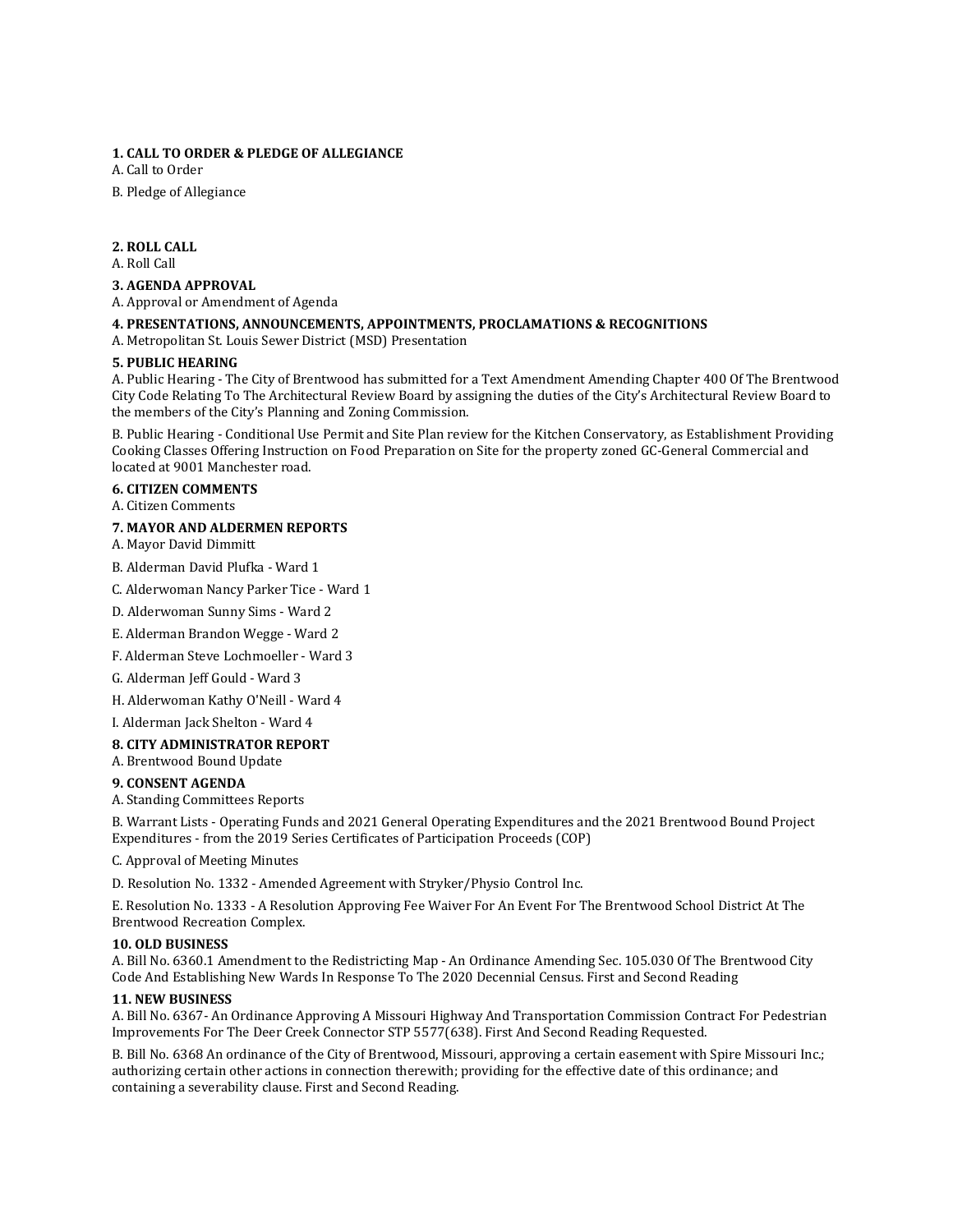## **1. CALL TO ORDER & PLEDGE OF ALLEGIANCE**

A. Call to Order

B. Pledge of Allegiance

## **2. ROLL CALL**

A. Roll Call

#### **3. AGENDA APPROVAL**

A. Approval or Amendment of Agenda

## **4. PRESENTATIONS, ANNOUNCEMENTS, APPOINTMENTS, PROCLAMATIONS & RECOGNITIONS**

A. Metropolitan St. Louis Sewer District (MSD) Presentation

#### **5. PUBLIC HEARING**

A. Public Hearing - The City of Brentwood has submitted for a Text Amendment Amending Chapter 400 Of The Brentwood City Code Relating To The Architectural Review Board by assigning the duties of the City's Architectural Review Board to the members of the City's Planning and Zoning Commission.

B. Public Hearing - Conditional Use Permit and Site Plan review for the Kitchen Conservatory, as Establishment Providing Cooking Classes Offering Instruction on Food Preparation on Site for the property zoned GC-General Commercial and located at 9001 Manchester road.

#### **6. CITIZEN COMMENTS**

#### A. Citizen Comments

#### **7. MAYOR AND ALDERMEN REPORTS**

A. Mayor David Dimmitt

- B. Alderman David Plufka Ward 1
- C. Alderwoman Nancy Parker Tice Ward 1
- D. Alderwoman Sunny Sims Ward 2
- E. Alderman Brandon Wegge Ward 2
- F. Alderman Steve Lochmoeller Ward 3
- G. Alderman Jeff Gould Ward 3
- H. Alderwoman Kathy O'Neill Ward 4
- I. Alderman Jack Shelton Ward 4

## **8. CITY ADMINISTRATOR REPORT**

A. Brentwood Bound Update

#### **9. CONSENT AGENDA**

A. Standing Committees Reports

B. Warrant Lists - Operating Funds and 2021 General Operating Expenditures and the 2021 Brentwood Bound Project Expenditures - from the 2019 Series Certificates of Participation Proceeds (COP)

C. Approval of Meeting Minutes

D. Resolution No. 1332 - Amended Agreement with Stryker/Physio Control Inc.

E. Resolution No. 1333 - A Resolution Approving Fee Waiver For An Event For The Brentwood School District At The Brentwood Recreation Complex.

#### **10. OLD BUSINESS**

A. Bill No. 6360.1 Amendment to the Redistricting Map - An Ordinance Amending Sec. 105.030 Of The Brentwood City Code And Establishing New Wards In Response To The 2020 Decennial Census. First and Second Reading

## **11. NEW BUSINESS**

A. Bill No. 6367- An Ordinance Approving A Missouri Highway And Transportation Commission Contract For Pedestrian Improvements For The Deer Creek Connector STP 5577(638). First And Second Reading Requested.

B. Bill No. 6368 An ordinance of the City of Brentwood, Missouri, approving a certain easement with Spire Missouri Inc.; authorizing certain other actions in connection therewith; providing for the effective date of this ordinance; and containing a severability clause. First and Second Reading.